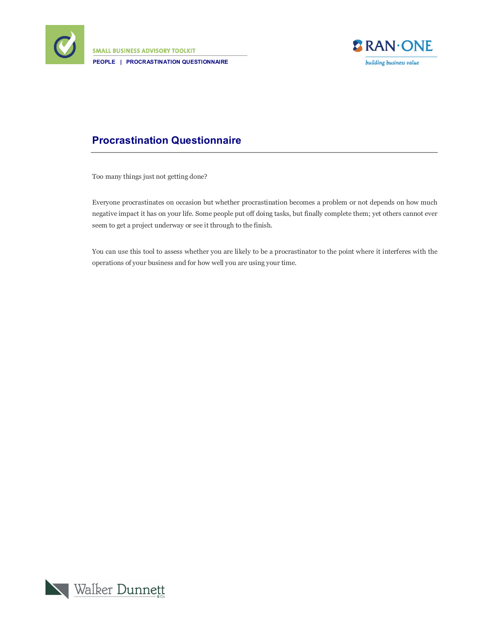

**SMALL BUSINESS ADVISORY TOOLKIT PEOPLE | PROCRASTINATION QUESTIONNAIRE**



## **Procrastination Questionnaire**

Too many things just not getting done?

Everyone procrastinates on occasion but whether procrastination becomes a problem or not depends on how much negative impact it has on your life. Some people put off doing tasks, but finally complete them; yet others cannot ever seem to get a project underway or see it through to the finish.

You can use this tool to assess whether you are likely to be a procrastinator to the point where it interferes with the operations of your business and for how well you are using your time.